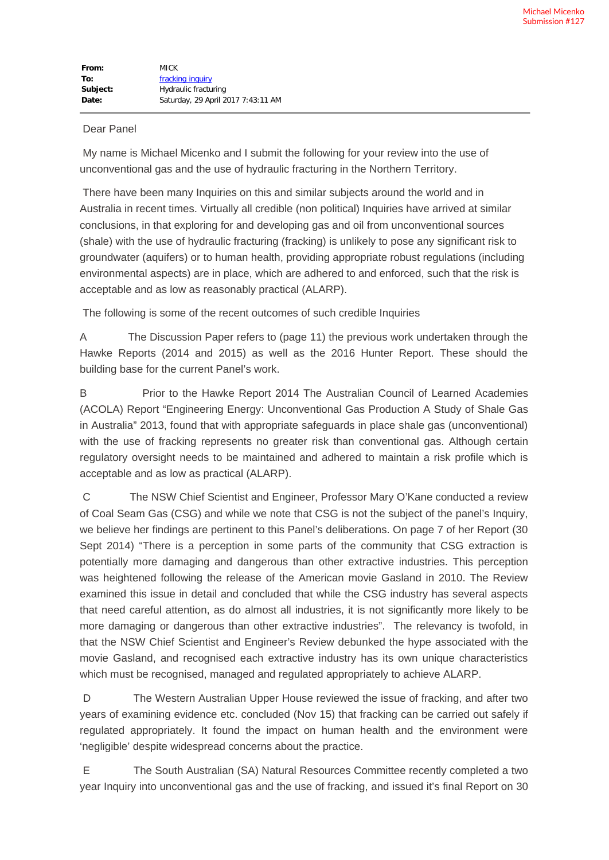## Dear Panel

 My name is Michael Micenko and I submit the following for your review into the use of unconventional gas and the use of hydraulic fracturing in the Northern Territory.

 There have been many Inquiries on this and similar subjects around the world and in Australia in recent times. Virtually all credible (non political) Inquiries have arrived at similar conclusions, in that exploring for and developing gas and oil from unconventional sources (shale) with the use of hydraulic fracturing (fracking) is unlikely to pose any significant risk to groundwater (aquifers) or to human health, providing appropriate robust regulations (including environmental aspects) are in place, which are adhered to and enforced, such that the risk is acceptable and as low as reasonably practical (ALARP).

The following is some of the recent outcomes of such credible Inquiries

A The Discussion Paper refers to (page 11) the previous work undertaken through the Hawke Reports (2014 and 2015) as well as the 2016 Hunter Report. These should the building base for the current Panel's work.

B Prior to the Hawke Report 2014 The Australian Council of Learned Academies (ACOLA) Report "Engineering Energy: Unconventional Gas Production A Study of Shale Gas in Australia" 2013, found that with appropriate safeguards in place shale gas (unconventional) with the use of fracking represents no greater risk than conventional gas. Although certain regulatory oversight needs to be maintained and adhered to maintain a risk profile which is acceptable and as low as practical (ALARP).

 C The NSW Chief Scientist and Engineer, Professor Mary O'Kane conducted a review of Coal Seam Gas (CSG) and while we note that CSG is not the subject of the panel's Inquiry, we believe her findings are pertinent to this Panel's deliberations. On page 7 of her Report (30 Sept 2014) "There is a perception in some parts of the community that CSG extraction is potentially more damaging and dangerous than other extractive industries. This perception was heightened following the release of the American movie Gasland in 2010. The Review examined this issue in detail and concluded that while the CSG industry has several aspects that need careful attention, as do almost all industries, it is not significantly more likely to be more damaging or dangerous than other extractive industries". The relevancy is twofold, in that the NSW Chief Scientist and Engineer's Review debunked the hype associated with the movie Gasland, and recognised each extractive industry has its own unique characteristics which must be recognised, managed and regulated appropriately to achieve ALARP.

 D The Western Australian Upper House reviewed the issue of fracking, and after two years of examining evidence etc. concluded (Nov 15) that fracking can be carried out safely if regulated appropriately. It found the impact on human health and the environment were 'negligible' despite widespread concerns about the practice.

 E The South Australian (SA) Natural Resources Committee recently completed a two year Inquiry into unconventional gas and the use of fracking, and issued it's final Report on 30